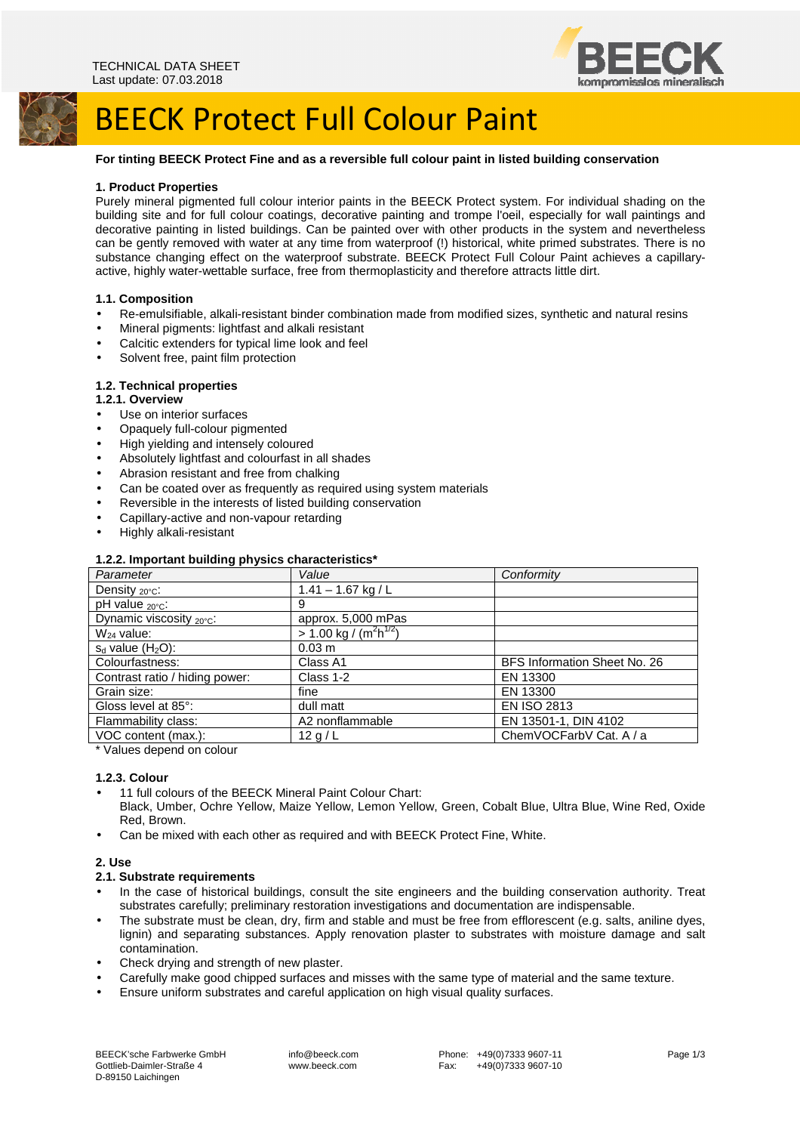



# BEECK Protect Full Colour Paint

# **For tinting BEECK Protect Fine and as a reversible full colour paint in listed building conservation**

#### **1. Product Properties**

Purely mineral pigmented full colour interior paints in the BEECK Protect system. For individual shading on the building site and for full colour coatings, decorative painting and trompe l'oeil, especially for wall paintings and decorative painting in listed buildings. Can be painted over with other products in the system and nevertheless can be gently removed with water at any time from waterproof (!) historical, white primed substrates. There is no substance changing effect on the waterproof substrate. BEECK Protect Full Colour Paint achieves a capillaryactive, highly water-wettable surface, free from thermoplasticity and therefore attracts little dirt.

## **1.1. Composition**

- Re-emulsifiable, alkali-resistant binder combination made from modified sizes, synthetic and natural resins
- Mineral pigments: lightfast and alkali resistant
- Calcitic extenders for typical lime look and feel
- Solvent free, paint film protection

## **1.2. Technical properties**

## **1.2.1. Overview**

- Use on interior surfaces
- Opaquely full-colour pigmented
- High yielding and intensely coloured
- Absolutely lightfast and colourfast in all shades
- Abrasion resistant and free from chalking
- Can be coated over as frequently as required using system materials
- Reversible in the interests of listed building conservation
- Capillary-active and non-vapour retarding
- Highly alkali-resistant

#### **1.2.2. Important building physics characteristics\***

| Parameter                       | Value                               | Conformity                   |
|---------------------------------|-------------------------------------|------------------------------|
| Density $_{20^{\circ}$ C:       | $1.41 - 1.67$ kg / L                |                              |
| pH value <sub>20°C</sub> :      | 9                                   |                              |
| Dynamic viscosity 20°C:         | approx. 5,000 mPas                  |                              |
| $W_{24}$ value:                 | $> 1.00 \text{ kg} / (m^2 h^{1/2})$ |                              |
| $s_d$ value (H <sub>2</sub> O): | 0.03 m                              |                              |
| Colourfastness:                 | Class A1                            | BFS Information Sheet No. 26 |
| Contrast ratio / hiding power:  | Class 1-2                           | EN 13300                     |
| Grain size:                     | fine                                | EN 13300                     |
| Gloss level at 85°:             | dull matt                           | <b>EN ISO 2813</b>           |
| Flammability class:             | A2 nonflammable                     | EN 13501-1, DIN 4102         |
| VOC content (max.):             | 12 g/L                              | ChemVOCFarbV Cat. A / a      |
|                                 |                                     |                              |

\* Values depend on colour

#### **1.2.3. Colour**

- 11 full colours of the BEECK Mineral Paint Colour Chart:
- Black, Umber, Ochre Yellow, Maize Yellow, Lemon Yellow, Green, Cobalt Blue, Ultra Blue, Wine Red, Oxide Red, Brown.
- Can be mixed with each other as required and with BEECK Protect Fine, White.

#### **2. Use**

#### **2.1. Substrate requirements**

- In the case of historical buildings, consult the site engineers and the building conservation authority. Treat substrates carefully; preliminary restoration investigations and documentation are indispensable.
- The substrate must be clean, dry, firm and stable and must be free from efflorescent (e.g. salts, aniline dyes, lignin) and separating substances. Apply renovation plaster to substrates with moisture damage and salt contamination.
- Check drying and strength of new plaster.
- Carefully make good chipped surfaces and misses with the same type of material and the same texture.
- Ensure uniform substrates and careful application on high visual quality surfaces.

 info@beeck.com www.beeck.com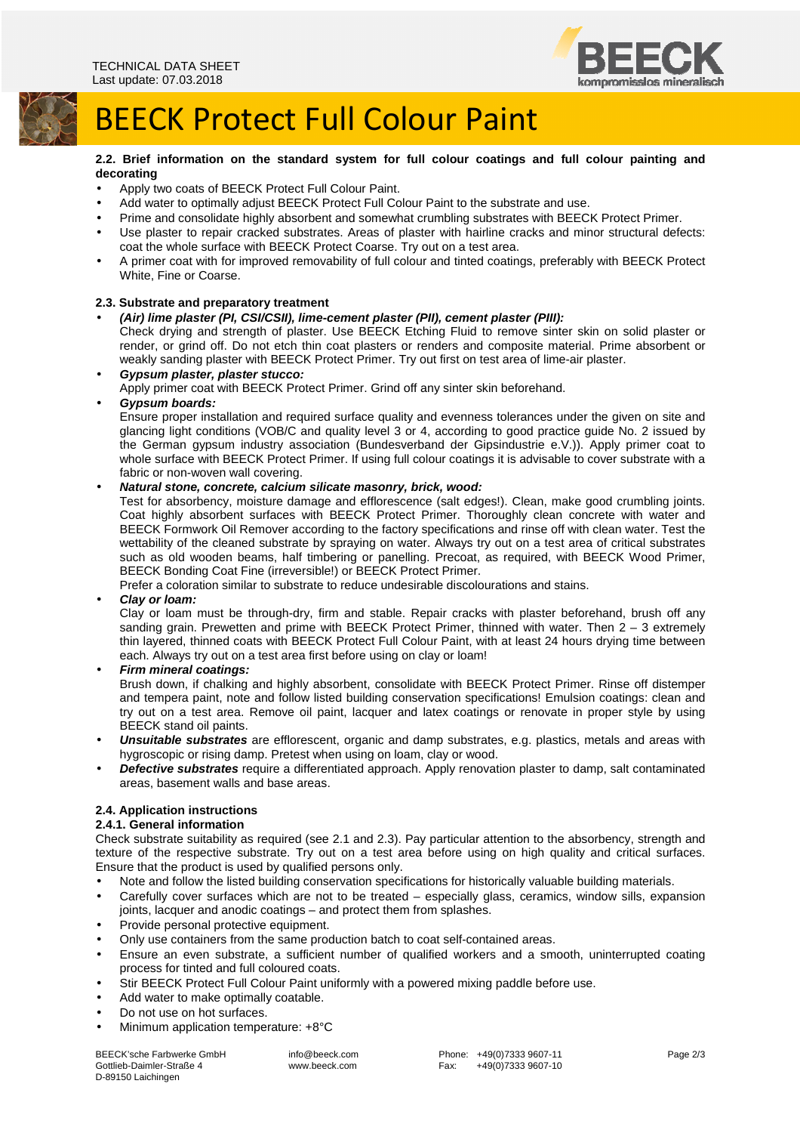

# BEECK Protect Full Colour Paint

**2.2. Brief information on the standard system for full colour coatings and full colour painting and decorating** 

- Apply two coats of BEECK Protect Full Colour Paint.
- Add water to optimally adjust BEECK Protect Full Colour Paint to the substrate and use.
- Prime and consolidate highly absorbent and somewhat crumbling substrates with BEECK Protect Primer.
- Use plaster to repair cracked substrates. Areas of plaster with hairline cracks and minor structural defects: coat the whole surface with BEECK Protect Coarse. Try out on a test area.
- A primer coat with for improved removability of full colour and tinted coatings, preferably with BEECK Protect White, Fine or Coarse.

## **2.3. Substrate and preparatory treatment**

• **(Air) lime plaster (PI, CSI/CSII), lime-cement plaster (PII), cement plaster (PIII):** 

Check drying and strength of plaster. Use BEECK Etching Fluid to remove sinter skin on solid plaster or render, or grind off. Do not etch thin coat plasters or renders and composite material. Prime absorbent or weakly sanding plaster with BEECK Protect Primer. Try out first on test area of lime-air plaster.

#### • **Gypsum plaster, plaster stucco:**

Apply primer coat with BEECK Protect Primer. Grind off any sinter skin beforehand.

#### • **Gypsum boards:**

Ensure proper installation and required surface quality and evenness tolerances under the given on site and glancing light conditions (VOB/C and quality level 3 or 4, according to good practice guide No. 2 issued by the German gypsum industry association (Bundesverband der Gipsindustrie e.V.)). Apply primer coat to whole surface with BEECK Protect Primer. If using full colour coatings it is advisable to cover substrate with a fabric or non-woven wall covering.

## • **Natural stone, concrete, calcium silicate masonry, brick, wood:**

Test for absorbency, moisture damage and efflorescence (salt edges!). Clean, make good crumbling joints. Coat highly absorbent surfaces with BEECK Protect Primer. Thoroughly clean concrete with water and BEECK Formwork Oil Remover according to the factory specifications and rinse off with clean water. Test the wettability of the cleaned substrate by spraying on water. Always try out on a test area of critical substrates such as old wooden beams, half timbering or panelling. Precoat, as required, with BEECK Wood Primer, BEECK Bonding Coat Fine (irreversible!) or BEECK Protect Primer.

Prefer a coloration similar to substrate to reduce undesirable discolourations and stains.

#### • **Clay or loam:**

Clay or loam must be through-dry, firm and stable. Repair cracks with plaster beforehand, brush off any sanding grain. Prewetten and prime with BEECK Protect Primer, thinned with water. Then 2 – 3 extremely thin layered, thinned coats with BEECK Protect Full Colour Paint, with at least 24 hours drying time between each. Always try out on a test area first before using on clay or loam!

#### • **Firm mineral coatings:**

Brush down, if chalking and highly absorbent, consolidate with BEECK Protect Primer. Rinse off distemper and tempera paint, note and follow listed building conservation specifications! Emulsion coatings: clean and try out on a test area. Remove oil paint, lacquer and latex coatings or renovate in proper style by using BEECK stand oil paints.

- **Unsuitable substrates** are efflorescent, organic and damp substrates, e.g. plastics, metals and areas with hygroscopic or rising damp. Pretest when using on loam, clay or wood.
- **Defective substrates** require a differentiated approach. Apply renovation plaster to damp, salt contaminated areas, basement walls and base areas.

# **2.4. Application instructions**

# **2.4.1. General information**

Check substrate suitability as required (see 2.1 and 2.3). Pay particular attention to the absorbency, strength and texture of the respective substrate. Try out on a test area before using on high quality and critical surfaces. Ensure that the product is used by qualified persons only.

- Note and follow the listed building conservation specifications for historically valuable building materials.
- Carefully cover surfaces which are not to be treated especially glass, ceramics, window sills, expansion joints, lacquer and anodic coatings – and protect them from splashes.
- Provide personal protective equipment.
- Only use containers from the same production batch to coat self-contained areas.
- Ensure an even substrate, a sufficient number of qualified workers and a smooth, uninterrupted coating process for tinted and full coloured coats.
- Stir BEECK Protect Full Colour Paint uniformly with a powered mixing paddle before use.
- Add water to make optimally coatable.
- Do not use on hot surfaces.
- Minimum application temperature: +8°C

BEECK'sche Farbwerke GmbH Gottlieb-Daimler-Straße 4 D-89150 Laichingen

 info@beeck.com www.beeck.com